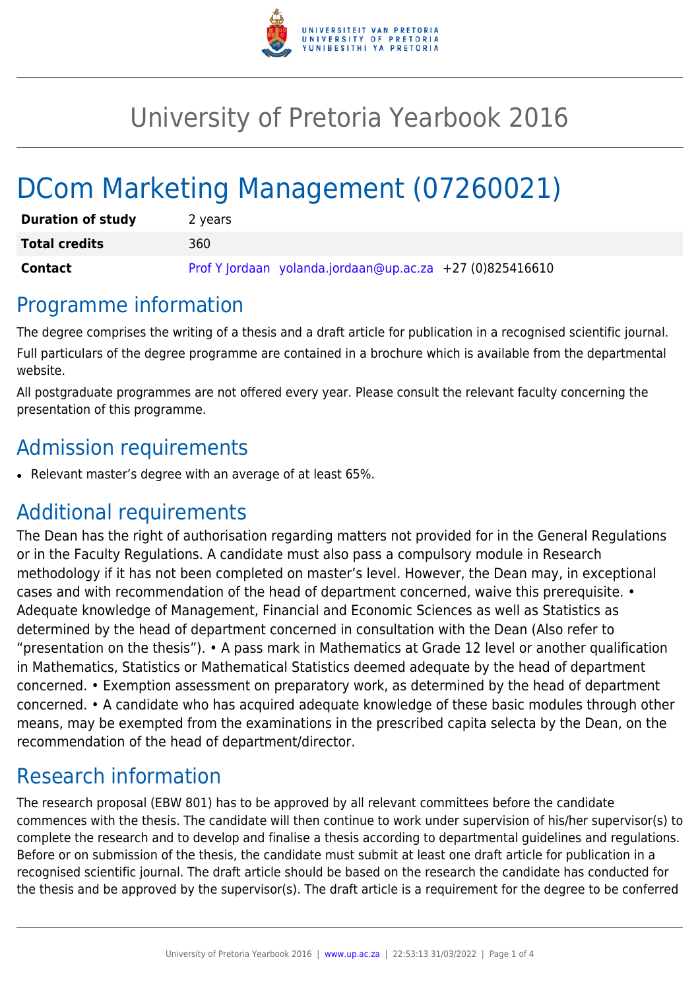

# University of Pretoria Yearbook 2016

# DCom Marketing Management (07260021)

| <b>Duration of study</b> | 2 years                                                  |
|--------------------------|----------------------------------------------------------|
| <b>Total credits</b>     | 360                                                      |
| <b>Contact</b>           | Prof Y Jordaan yolanda.jordaan@up.ac.za +27 (0)825416610 |

## Programme information

The degree comprises the writing of a thesis and a draft article for publication in a recognised scientific journal. Full particulars of the degree programme are contained in a brochure which is available from the departmental website.

All postgraduate programmes are not offered every year. Please consult the relevant faculty concerning the presentation of this programme.

## Admission requirements

● Relevant master's degree with an average of at least 65%.

### Additional requirements

The Dean has the right of authorisation regarding matters not provided for in the General Regulations or in the Faculty Regulations. A candidate must also pass a compulsory module in Research methodology if it has not been completed on master's level. However, the Dean may, in exceptional cases and with recommendation of the head of department concerned, waive this prerequisite. • Adequate knowledge of Management, Financial and Economic Sciences as well as Statistics as determined by the head of department concerned in consultation with the Dean (Also refer to "presentation on the thesis"). • A pass mark in Mathematics at Grade 12 level or another qualification in Mathematics, Statistics or Mathematical Statistics deemed adequate by the head of department concerned. • Exemption assessment on preparatory work, as determined by the head of department concerned. • A candidate who has acquired adequate knowledge of these basic modules through other means, may be exempted from the examinations in the prescribed capita selecta by the Dean, on the recommendation of the head of department/director.

# Research information

The research proposal (EBW 801) has to be approved by all relevant committees before the candidate commences with the thesis. The candidate will then continue to work under supervision of his/her supervisor(s) to complete the research and to develop and finalise a thesis according to departmental guidelines and regulations. Before or on submission of the thesis, the candidate must submit at least one draft article for publication in a recognised scientific journal. The draft article should be based on the research the candidate has conducted for the thesis and be approved by the supervisor(s). The draft article is a requirement for the degree to be conferred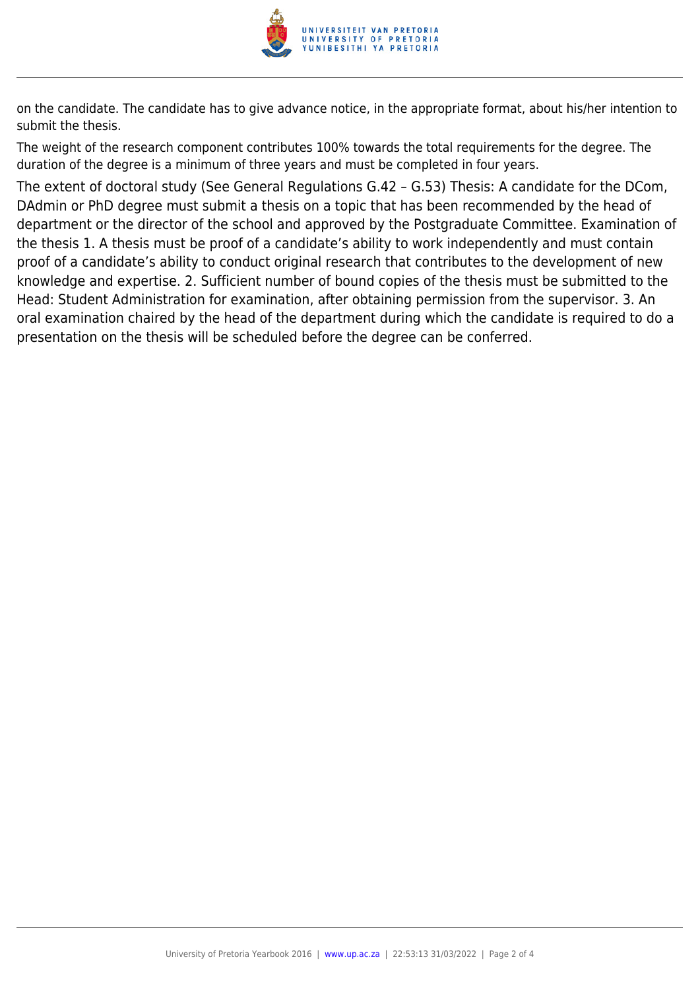

on the candidate. The candidate has to give advance notice, in the appropriate format, about his/her intention to submit the thesis.

The weight of the research component contributes 100% towards the total requirements for the degree. The duration of the degree is a minimum of three years and must be completed in four years.

The extent of doctoral study (See General Regulations G.42 – G.53) Thesis: A candidate for the DCom, DAdmin or PhD degree must submit a thesis on a topic that has been recommended by the head of department or the director of the school and approved by the Postgraduate Committee. Examination of the thesis 1. A thesis must be proof of a candidate's ability to work independently and must contain proof of a candidate's ability to conduct original research that contributes to the development of new knowledge and expertise. 2. Sufficient number of bound copies of the thesis must be submitted to the Head: Student Administration for examination, after obtaining permission from the supervisor. 3. An oral examination chaired by the head of the department during which the candidate is required to do a presentation on the thesis will be scheduled before the degree can be conferred.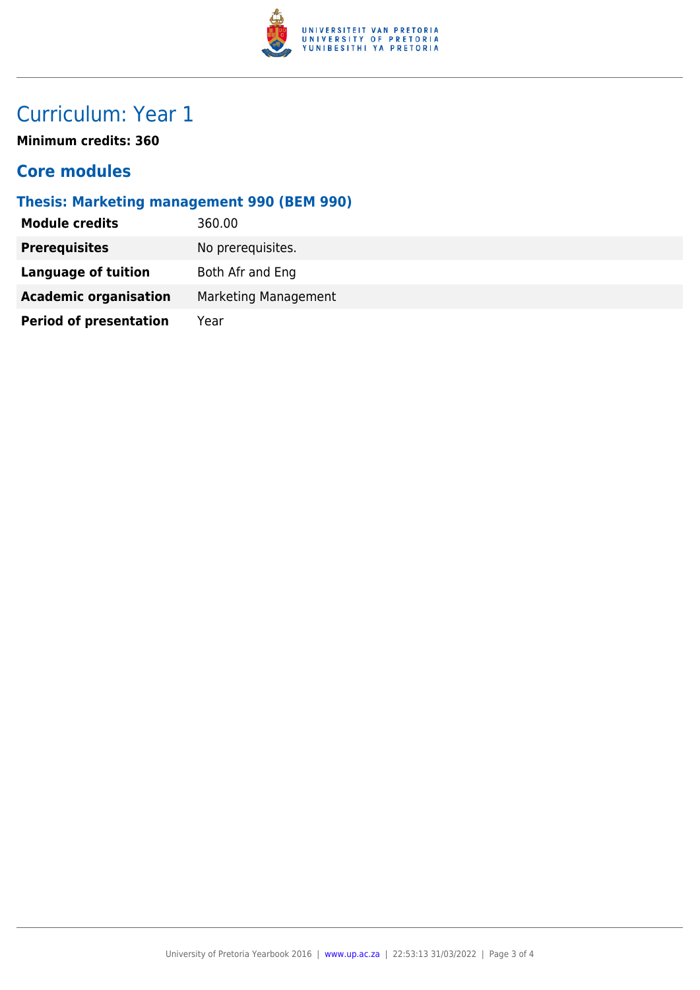

# Curriculum: Year 1

**Minimum credits: 360**

### **Core modules**

#### **Thesis: Marketing management 990 (BEM 990)**

| <b>Module credits</b>         | 360.00               |
|-------------------------------|----------------------|
| <b>Prerequisites</b>          | No prerequisites.    |
| Language of tuition           | Both Afr and Eng     |
| <b>Academic organisation</b>  | Marketing Management |
| <b>Period of presentation</b> | Year                 |